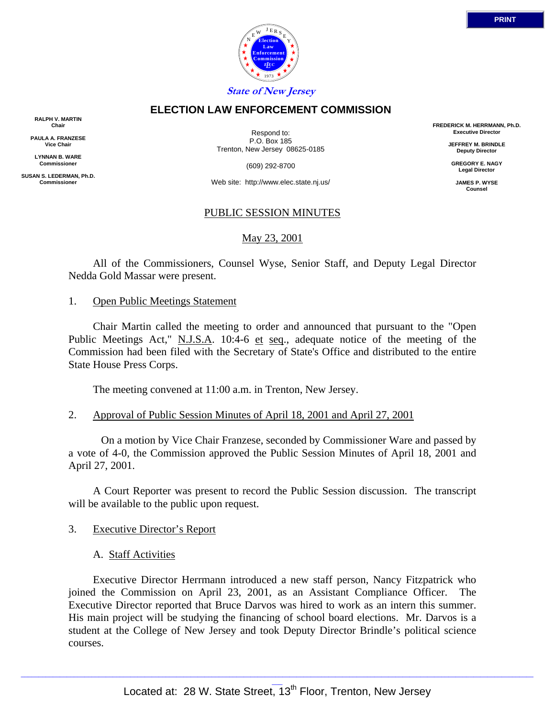

### **ELECTION LAW ENFORCEMENT COMMISSION**

**RALPH V. MARTIN Chair**

**PAULA A. FRANZESE Vice Chair**

**LYNNAN B. WARE Commissioner**

**SUSAN S. LEDERMAN, Ph.D. Commissioner**

Respond to: P.O. Box 185 Trenton, New Jersey 08625-0185

(609) 292-8700

Web site: http://www.elec.state.nj.us/

### PUBLIC SESSION MINUTES

### May 23, 2001

 All of the Commissioners, Counsel Wyse, Senior Staff, and Deputy Legal Director Nedda Gold Massar were present.

#### 1. Open Public Meetings Statement

 Chair Martin called the meeting to order and announced that pursuant to the "Open Public Meetings Act," N.J.S.A. 10:4-6 et seq., adequate notice of the meeting of the Commission had been filed with the Secretary of State's Office and distributed to the entire State House Press Corps.

The meeting convened at 11:00 a.m. in Trenton, New Jersey.

#### 2. Approval of Public Session Minutes of April 18, 2001 and April 27, 2001

 On a motion by Vice Chair Franzese, seconded by Commissioner Ware and passed by a vote of 4-0, the Commission approved the Public Session Minutes of April 18, 2001 and April 27, 2001.

 A Court Reporter was present to record the Public Session discussion. The transcript will be available to the public upon request.

#### 3. Executive Director's Report

A. Staff Activities

 Executive Director Herrmann introduced a new staff person, Nancy Fitzpatrick who joined the Commission on April 23, 2001, as an Assistant Compliance Officer. The Executive Director reported that Bruce Darvos was hired to work as an intern this summer. His main project will be studying the financing of school board elections. Mr. Darvos is a student at the College of New Jersey and took Deputy Director Brindle's political science courses.

**FREDERICK M. HERRMANN, Ph.D. Executive Director JEFFREY M. BRINDLE Deputy Director GREGORY E. NAGY Legal Director JAMES P. WYSE Counsel**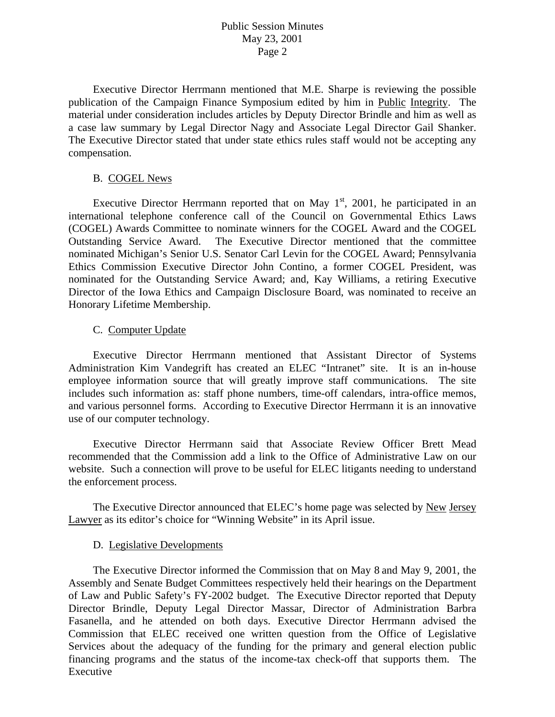## Public Session Minutes May 23, 2001 Page 2

 Executive Director Herrmann mentioned that M.E. Sharpe is reviewing the possible publication of the Campaign Finance Symposium edited by him in Public Integrity. The material under consideration includes articles by Deputy Director Brindle and him as well as a case law summary by Legal Director Nagy and Associate Legal Director Gail Shanker. The Executive Director stated that under state ethics rules staff would not be accepting any compensation.

### B. COGEL News

Executive Director Herrmann reported that on May  $1<sup>st</sup>$ , 2001, he participated in an international telephone conference call of the Council on Governmental Ethics Laws (COGEL) Awards Committee to nominate winners for the COGEL Award and the COGEL Outstanding Service Award. The Executive Director mentioned that the committee nominated Michigan's Senior U.S. Senator Carl Levin for the COGEL Award; Pennsylvania Ethics Commission Executive Director John Contino, a former COGEL President, was nominated for the Outstanding Service Award; and, Kay Williams, a retiring Executive Director of the Iowa Ethics and Campaign Disclosure Board, was nominated to receive an Honorary Lifetime Membership.

### C. Computer Update

 Executive Director Herrmann mentioned that Assistant Director of Systems Administration Kim Vandegrift has created an ELEC "Intranet" site. It is an in-house employee information source that will greatly improve staff communications. The site includes such information as: staff phone numbers, time-off calendars, intra-office memos, and various personnel forms. According to Executive Director Herrmann it is an innovative use of our computer technology.

 Executive Director Herrmann said that Associate Review Officer Brett Mead recommended that the Commission add a link to the Office of Administrative Law on our website. Such a connection will prove to be useful for ELEC litigants needing to understand the enforcement process.

 The Executive Director announced that ELEC's home page was selected by New Jersey Lawyer as its editor's choice for "Winning Website" in its April issue.

### D. Legislative Developments

 The Executive Director informed the Commission that on May 8 and May 9, 2001, the Assembly and Senate Budget Committees respectively held their hearings on the Department of Law and Public Safety's FY-2002 budget. The Executive Director reported that Deputy Director Brindle, Deputy Legal Director Massar, Director of Administration Barbra Fasanella, and he attended on both days. Executive Director Herrmann advised the Commission that ELEC received one written question from the Office of Legislative Services about the adequacy of the funding for the primary and general election public financing programs and the status of the income-tax check-off that supports them. The Executive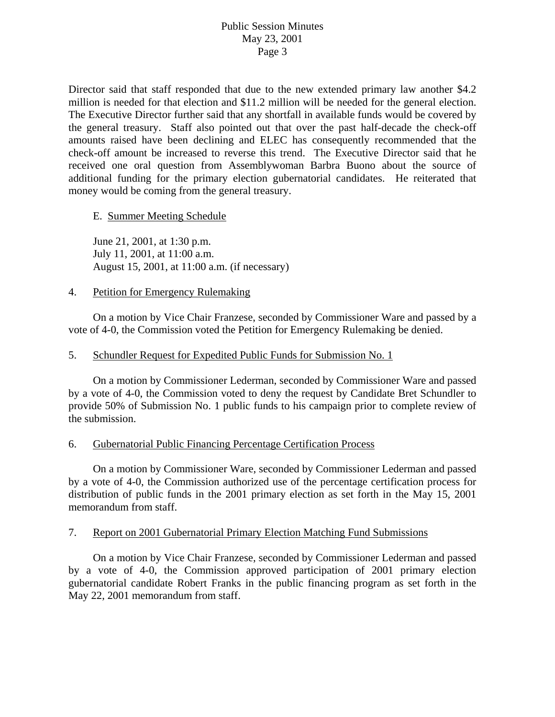# Public Session Minutes May 23, 2001 Page 3

Director said that staff responded that due to the new extended primary law another \$4.2 million is needed for that election and \$11.2 million will be needed for the general election. The Executive Director further said that any shortfall in available funds would be covered by the general treasury. Staff also pointed out that over the past half-decade the check-off amounts raised have been declining and ELEC has consequently recommended that the check-off amount be increased to reverse this trend. The Executive Director said that he received one oral question from Assemblywoman Barbra Buono about the source of additional funding for the primary election gubernatorial candidates. He reiterated that money would be coming from the general treasury.

# E. Summer Meeting Schedule

 June 21, 2001, at 1:30 p.m. July 11, 2001, at 11:00 a.m. August 15, 2001, at 11:00 a.m. (if necessary)

### 4. Petition for Emergency Rulemaking

 On a motion by Vice Chair Franzese, seconded by Commissioner Ware and passed by a vote of 4-0, the Commission voted the Petition for Emergency Rulemaking be denied.

# 5. Schundler Request for Expedited Public Funds for Submission No. 1

 On a motion by Commissioner Lederman, seconded by Commissioner Ware and passed by a vote of 4-0, the Commission voted to deny the request by Candidate Bret Schundler to provide 50% of Submission No. 1 public funds to his campaign prior to complete review of the submission.

# 6. Gubernatorial Public Financing Percentage Certification Process

 On a motion by Commissioner Ware, seconded by Commissioner Lederman and passed by a vote of 4-0, the Commission authorized use of the percentage certification process for distribution of public funds in the 2001 primary election as set forth in the May 15, 2001 memorandum from staff.

### 7. Report on 2001 Gubernatorial Primary Election Matching Fund Submissions

 On a motion by Vice Chair Franzese, seconded by Commissioner Lederman and passed by a vote of 4-0, the Commission approved participation of 2001 primary election gubernatorial candidate Robert Franks in the public financing program as set forth in the May 22, 2001 memorandum from staff.